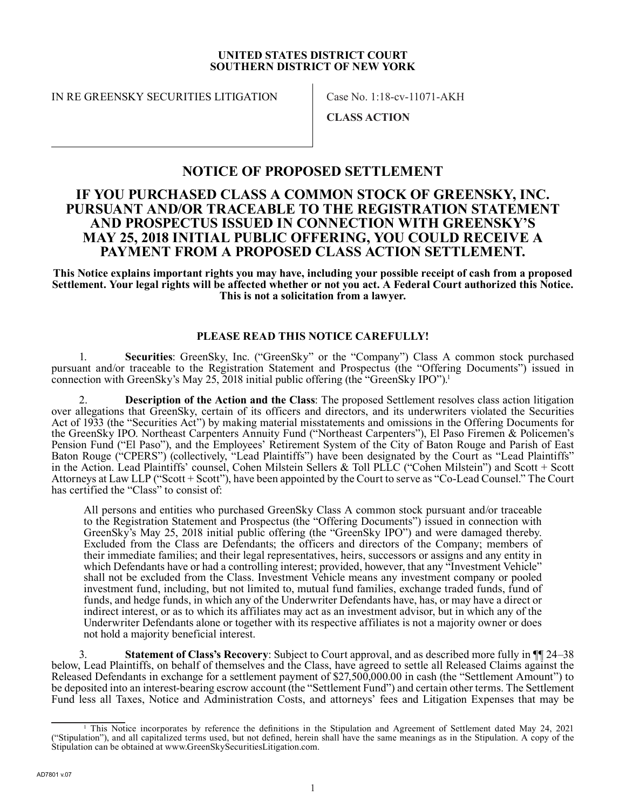#### **UNITED STATES DISTRICT COURT SOUTHERN DISTRICT OF NEW YORK**

IN RE GREENSKY SECURITIES LITIGATION Case No. 1:18-cv-11071-AKH

**CLASS ACTION**

# **NOTICE OF PROPOSED SETTLEMENT**

# **IF YOU PURCHASED CLASS A COMMON STOCK OF GREENSKY, INC. PURSUANT AND/OR TRACEABLE TO THE REGISTRATION STATEMENT AND PROSPECTUS ISSUED IN CONNECTION WITH GREENSKY'S MAY 25, 2018 INITIAL PUBLIC OFFERING, YOU COULD RECEIVE A PAYMENT FROM A PROPOSED CLASS ACTION SETTLEMENT.**

**This Notice explains important rights you may have, including your possible receipt of cash from a proposed Settlement. Your legal rights will be affected whether or not you act. A Federal Court authorized this Notice. This is not a solicitation from a lawyer.**

#### **PLEASE READ THIS NOTICE CAREFULLY!**

1. **Securities**: GreenSky, Inc. ("GreenSky" or the "Company") Class A common stock purchased pursuant and/or traceable to the Registration Statement and Prospectus (the "Offering Documents") issued in connection with GreenSky's May 25, 2018 initial public offering (the "GreenSky IPO").<sup>1</sup>

2. **Description of the Action and the Class**: The proposed Settlement resolves class action litigation over allegations that GreenSky, certain of its officers and directors, and its underwriters violated the Securities Act of 1933 (the "Securities Act") by making material misstatements and omissions in the Offering Documents for the GreenSky IPO. Northeast Carpenters Annuity Fund ("Northeast Carpenters"), El Paso Firemen & Policemen's Pension Fund ("El Paso"), and the Employees' Retirement System of the City of Baton Rouge and Parish of East Baton Rouge ("CPERS") (collectively, "Lead Plaintiffs") have been designated by the Court as "Lead Plaintiffs" in the Action. Lead Plaintiffs' counsel, Cohen Milstein Sellers & Toll PLLC ("Cohen Milstein") and Scott + Scott Attorneys at Law LLP ("Scott + Scott"), have been appointed by the Court to serve as "Co-Lead Counsel." The Court has certified the "Class" to consist of:

All persons and entities who purchased GreenSky Class A common stock pursuant and/or traceable to the Registration Statement and Prospectus (the "Offering Documents") issued in connection with GreenSky's May 25, 2018 initial public offering (the "GreenSky IPO") and were damaged thereby. Excluded from the Class are Defendants; the officers and directors of the Company; members of their immediate families; and their legal representatives, heirs, successors or assigns and any entity in which Defendants have or had a controlling interest; provided, however, that any "Investment Vehicle" shall not be excluded from the Class. Investment Vehicle means any investment company or pooled investment fund, including, but not limited to, mutual fund families, exchange traded funds, fund of funds, and hedge funds, in which any of the Underwriter Defendants have, has, or may have a direct or indirect interest, or as to which its affiliates may act as an investment advisor, but in which any of the Underwriter Defendants alone or together with its respective affiliates is not a majority owner or does not hold a majority beneficial interest.

3. **Statement of Class's Recovery**: Subject to Court approval, and as described more fully in ¶¶ 24–38 below, Lead Plaintiffs, on behalf of themselves and the Class, have agreed to settle all Released Claims against the Released Defendants in exchange for a settlement payment of \$27,500,000.00 in cash (the "Settlement Amount") to be deposited into an interest-bearing escrow account (the "Settlement Fund") and certain other terms. The Settlement Fund less all Taxes, Notice and Administration Costs, and attorneys' fees and Litigation Expenses that may be

<sup>1</sup> This Notice incorporates by reference the definitions in the Stipulation and Agreement of Settlement dated May 24, 2021 ("Stipulation"), and all capitalized terms used, but not defined, herein shall have the same meanings as in the Stipulation. A copy of the Stipulation can be obtained at www.GreenSkySecuritiesLitigation.com.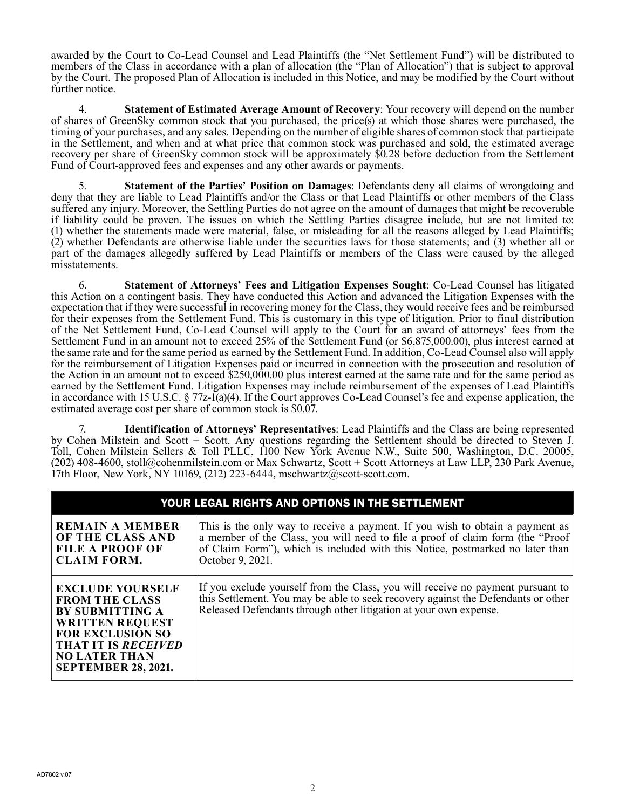awarded by the Court to Co-Lead Counsel and Lead Plaintiffs (the "Net Settlement Fund") will be distributed to members of the Class in accordance with a plan of allocation (the "Plan of Allocation") that is subject to approval by the Court. The proposed Plan of Allocation is included in this Notice, and may be modified by the Court without further notice.

4. **Statement of Estimated Average Amount of Recovery**: Your recovery will depend on the number of shares of GreenSky common stock that you purchased, the price(s) at which those shares were purchased, the timing of your purchases, and any sales. Depending on the number of eligible shares of common stock that participate in the Settlement, and when and at what price that common stock was purchased and sold, the estimated average recovery per share of GreenSky common stock will be approximately \$0.28 before deduction from the Settlement Fund of Court-approved fees and expenses and any other awards or payments.

5. **Statement of the Parties' Position on Damages**: Defendants deny all claims of wrongdoing and deny that they are liable to Lead Plaintiffs and/or the Class or that Lead Plaintiffs or other members of the Class suffered any injury. Moreover, the Settling Parties do not agree on the amount of damages that might be recoverable if liability could be proven. The issues on which the Settling Parties disagree include, but are not limited to: (1) whether the statements made were material, false, or misleading for all the reasons alleged by Lead Plaintiffs; (2) whether Defendants are otherwise liable under the securities laws for those statements; and (3) whether all or part of the damages allegedly suffered by Lead Plaintiffs or members of the Class were caused by the alleged misstatements.

6. **Statement of Attorneys' Fees and Litigation Expenses Sought**: Co-Lead Counsel has litigated this Action on a contingent basis. They have conducted this Action and advanced the Litigation Expenses with the expectation that if they were successful in recovering money for the Class, they would receive fees and be reimbursed for their expenses from the Settlement Fund. This is customary in this type of litigation. Prior to final distribution of the Net Settlement Fund, Co-Lead Counsel will apply to the Court for an award of attorneys' fees from the Settlement Fund in an amount not to exceed 25% of the Settlement Fund (or \$6,875,000.00), plus interest earned at the same rate and for the same period as earned by the Settlement Fund. In addition, Co-Lead Counsel also will apply for the reimbursement of Litigation Expenses paid or incurred in connection with the prosecution and resolution of the Action in an amount not to exceed \$250,000.00 plus interest earned at the same rate and for the same period as earned by the Settlement Fund. Litigation Expenses may include reimbursement of the expenses of Lead Plaintiffs in accordance with 15 U.S.C. § 77z-1(a)(4). If the Court approves Co-Lead Counsel's fee and expense application, the estimated average cost per share of common stock is \$0.07.

7. **Identification of Attorneys' Representatives**: Lead Plaintiffs and the Class are being represented by Cohen Milstein and Scott + Scott. Any questions regarding the Settlement should be directed to Steven J. Toll, Cohen Milstein Sellers & Toll PLLC, 1100 New York Avenue N.W., Suite 500, Washington, D.C. 20005, (202) 408-4600, stoll@cohenmilstein.com or Max Schwartz, Scott + Scott Attorneys at Law LLP, 230 Park Avenue, 17th Floor, New York, NY 10169, (212) 223-6444, mschwartz@scott-scott.com.

| YOUR LEGAL RIGHTS AND OPTIONS IN THE SETTLEMENT                                                                                                                                                                     |                                                                                                                                                                                                                                                                      |  |
|---------------------------------------------------------------------------------------------------------------------------------------------------------------------------------------------------------------------|----------------------------------------------------------------------------------------------------------------------------------------------------------------------------------------------------------------------------------------------------------------------|--|
| <b>REMAIN A MEMBER</b><br>OF THE CLASS AND<br><b>FILE A PROOF OF</b><br><b>CLAIM FORM.</b>                                                                                                                          | This is the only way to receive a payment. If you wish to obtain a payment as<br>a member of the Class, you will need to file a proof of claim form (the "Proof<br>of Claim Form"), which is included with this Notice, postmarked no later than<br>October 9, 2021. |  |
| <b>EXCLUDE YOURSELF</b><br><b>FROM THE CLASS</b><br><b>BY SUBMITTING A</b><br><b>WRITTEN REQUEST</b><br><b>FOR EXCLUSION SO</b><br><b>THAT IT IS RECEIVED</b><br><b>NO LATER THAN</b><br><b>SEPTEMBER 28, 2021.</b> | If you exclude yourself from the Class, you will receive no payment pursuant to<br>this Settlement. You may be able to seek recovery against the Defendants or other<br>Released Defendants through other litigation at your own expense.                            |  |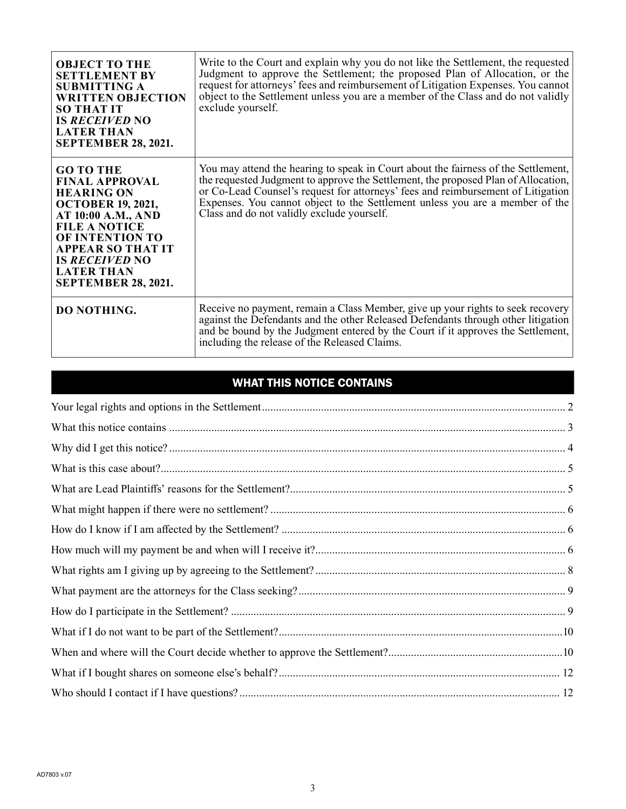| <b>OBJECT TO THE</b><br><b>SETTLEMENT BY</b><br><b>SUBMITTING A</b><br><b>WRITTEN OBJECTION</b><br><b>SO THAT IT</b><br><b>IS RECEIVED NO</b><br><b>LATER THAN</b><br><b>SEPTEMBER 28, 2021.</b>                                                                                  | Write to the Court and explain why you do not like the Settlement, the requested<br>Judgment to approve the Settlement; the proposed Plan of Allocation, or the<br>request for attorneys' fees and reimbursement of Litigation Expenses. You cannot<br>object to the Settlement unless you are a member of the Class and do not validly<br>exclude yourself.                               |
|-----------------------------------------------------------------------------------------------------------------------------------------------------------------------------------------------------------------------------------------------------------------------------------|--------------------------------------------------------------------------------------------------------------------------------------------------------------------------------------------------------------------------------------------------------------------------------------------------------------------------------------------------------------------------------------------|
| <b>GO TO THE</b><br><b>FINAL APPROVAL</b><br><b>HEARING ON</b><br><b>OCTOBER 19, 2021,</b><br><b>AT 10:00 A.M., AND</b><br><b>FILE A NOTICE</b><br><b>OF INTENTION TO</b><br><b>APPEAR SO THAT IT</b><br><b>IS RECEIVED NO</b><br><b>LATER THAN</b><br><b>SEPTEMBER 28, 2021.</b> | You may attend the hearing to speak in Court about the fairness of the Settlement,<br>the requested Judgment to approve the Settlement, the proposed Plan of Allocation,<br>or Co-Lead Counsel's request for attorneys' fees and reimbursement of Litigation<br>Expenses. You cannot object to the Settlement unless you are a member of the<br>Class and do not validly exclude yourself. |
| <b>DO NOTHING.</b>                                                                                                                                                                                                                                                                | Receive no payment, remain a Class Member, give up your rights to seek recovery<br>against the Defendants and the other Released Defendants through other litigation<br>and be bound by the Judgment entered by the Court if it approves the Settlement,<br>including the release of the Released Claims.                                                                                  |

# WHAT THIS NOTICE CONTAINS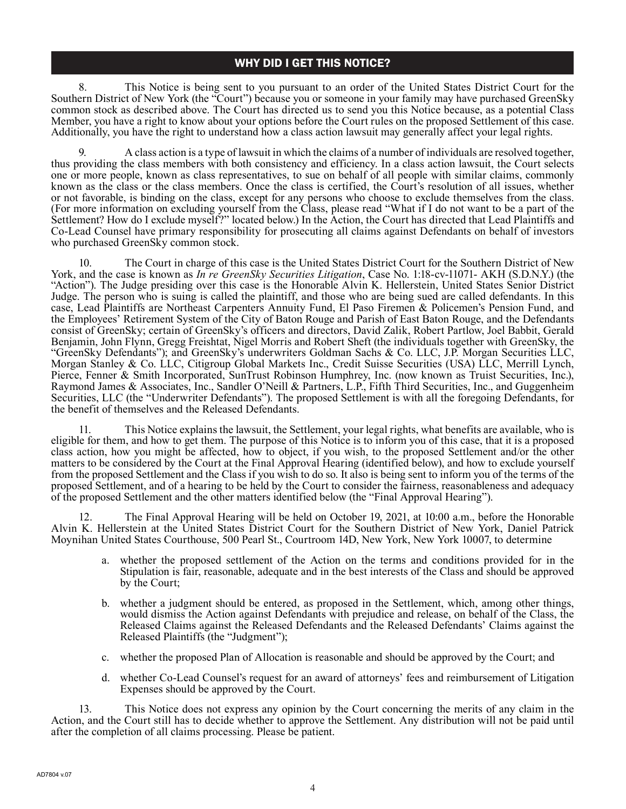8. This Notice is being sent to you pursuant to an order of the United States District Court for the Southern District of New York (the "Court") because you or someone in your family may have purchased GreenSky common stock as described above. The Court has directed us to send you this Notice because, as a potential Class Member, you have a right to know about your options before the Court rules on the proposed Settlement of this case. Additionally, you have the right to understand how a class action lawsuit may generally affect your legal rights.

9. A class action is a type of lawsuit in which the claims of a number of individuals are resolved together, thus providing the class members with both consistency and efficiency. In a class action lawsuit, the Court selects one or more people, known as class representatives, to sue on behalf of all people with similar claims, commonly known as the class or the class members. Once the class is certified, the Court's resolution of all issues, whether or not favorable, is binding on the class, except for any persons who choose to exclude themselves from the class. (For more information on excluding yourself from the Class, please read "What if I do not want to be a part of the Settlement? How do I exclude myself?" located below.) In the Action, the Court has directed that Lead Plaintiffs and Co-Lead Counsel have primary responsibility for prosecuting all claims against Defendants on behalf of investors who purchased GreenSky common stock.

10. The Court in charge of this case is the United States District Court for the Southern District of New York, and the case is known as *In re GreenSky Securities Litigation*, Case No. 1:18-cv-11071- AKH (S.D.N.Y.) (the "Action"). The Judge presiding over this case is the Honorable Alvin K. Hellerstein, United States Senior District Judge. The person who is suing is called the plaintiff, and those who are being sued are called defendants. In this case, Lead Plaintiffs are Northeast Carpenters Annuity Fund, El Paso Firemen & Policemen's Pension Fund, and the Employees' Retirement System of the City of Baton Rouge and Parish of East Baton Rouge, and the Defendants consist of GreenSky; certain of GreenSky's officers and directors, David Zalik, Robert Partlow, Joel Babbit, Gerald Benjamin, John Flynn, Gregg Freishtat, Nigel Morris and Robert Sheft (the individuals together with GreenSky, the "GreenSky Defendants"); and GreenSky's underwriters Goldman Sachs & Co. LLC, J.P. Morgan Securities LLC, Morgan Stanley & Co. LLC, Citigroup Global Markets Inc., Credit Suisse Securities (USA) LLC, Merrill Lynch, Pierce, Fenner & Smith Incorporated, SunTrust Robinson Humphrey, Inc. (now known as Truist Securities, Inc.), Raymond James & Associates, Inc., Sandler O'Neill & Partners, L.P., Fifth Third Securities, Inc., and Guggenheim Securities, LLC (the "Underwriter Defendants"). The proposed Settlement is with all the foregoing Defendants, for the benefit of themselves and the Released Defendants.

11. This Notice explains the lawsuit, the Settlement, your legal rights, what benefits are available, who is eligible for them, and how to get them. The purpose of this Notice is to inform you of this case, that it is a proposed class action, how you might be affected, how to object, if you wish, to the proposed Settlement and/or the other matters to be considered by the Court at the Final Approval Hearing (identified below), and how to exclude yourself from the proposed Settlement and the Class if you wish to do so. It also is being sent to inform you of the terms of the proposed Settlement, and of a hearing to be held by the Court to consider the fairness, reasonableness and adequacy of the proposed Settlement and the other matters identified below (the "Final Approval Hearing").

12. The Final Approval Hearing will be held on October 19, 2021, at 10:00 a.m., before the Honorable Alvin K. Hellerstein at the United States District Court for the Southern District of New York, Daniel Patrick Moynihan United States Courthouse, 500 Pearl St., Courtroom 14D, New York, New York 10007, to determine

- a. whether the proposed settlement of the Action on the terms and conditions provided for in the Stipulation is fair, reasonable, adequate and in the best interests of the Class and should be approved by the Court;
- b. whether a judgment should be entered, as proposed in the Settlement, which, among other things, would dismiss the Action against Defendants with prejudice and release, on behalf of the Class, the Released Claims against the Released Defendants and the Released Defendants' Claims against the Released Plaintiffs (the "Judgment");
- c. whether the proposed Plan of Allocation is reasonable and should be approved by the Court; and
- d. whether Co-Lead Counsel's request for an award of attorneys' fees and reimbursement of Litigation Expenses should be approved by the Court.

13. This Notice does not express any opinion by the Court concerning the merits of any claim in the Action, and the Court still has to decide whether to approve the Settlement. Any distribution will not be paid until after the completion of all claims processing. Please be patient.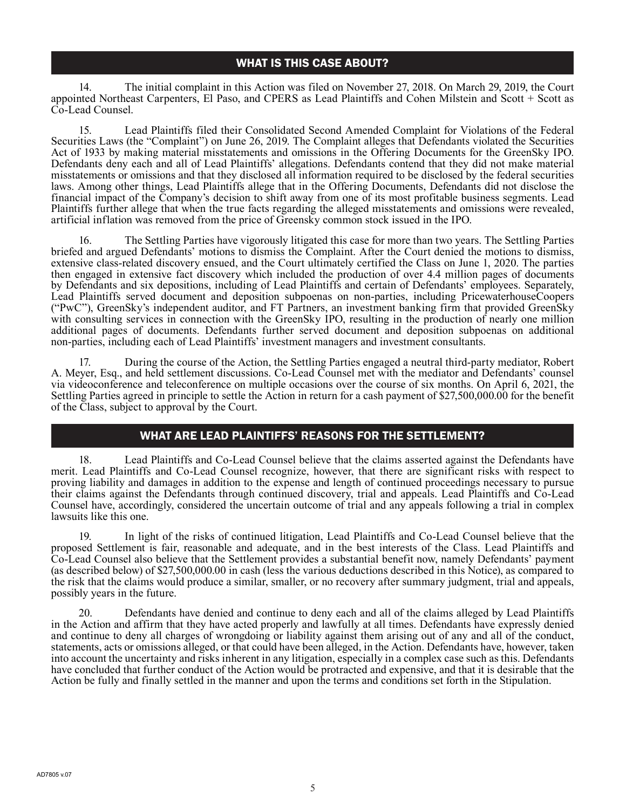14. The initial complaint in this Action was filed on November 27, 2018. On March 29, 2019, the Court appointed Northeast Carpenters, El Paso, and CPERS as Lead Plaintiffs and Cohen Milstein and Scott + Scott as Co-Lead Counsel.

15. Lead Plaintiffs filed their Consolidated Second Amended Complaint for Violations of the Federal Securities Laws (the "Complaint") on June 26, 2019. The Complaint alleges that Defendants violated the Securities Act of 1933 by making material misstatements and omissions in the Offering Documents for the GreenSky IPO. Defendants deny each and all of Lead Plaintiffs' allegations. Defendants contend that they did not make material misstatements or omissions and that they disclosed all information required to be disclosed by the federal securities laws. Among other things, Lead Plaintiffs allege that in the Offering Documents, Defendants did not disclose the financial impact of the Company's decision to shift away from one of its most profitable business segments. Lead Plaintiffs further allege that when the true facts regarding the alleged misstatements and omissions were revealed, artificial inflation was removed from the price of Greensky common stock issued in the IPO.

16. The Settling Parties have vigorously litigated this case for more than two years. The Settling Parties briefed and argued Defendants' motions to dismiss the Complaint. After the Court denied the motions to dismiss, extensive class-related discovery ensued, and the Court ultimately certified the Class on June 1, 2020. The parties then engaged in extensive fact discovery which included the production of over 4.4 million pages of documents by Defendants and six depositions, including of Lead Plaintiffs and certain of Defendants' employees. Separately, Lead Plaintiffs served document and deposition subpoenas on non-parties, including PricewaterhouseCoopers ("PwC"), GreenSky's independent auditor, and FT Partners, an investment banking firm that provided GreenSky with consulting services in connection with the GreenSky IPO, resulting in the production of nearly one million additional pages of documents. Defendants further served document and deposition subpoenas on additional non-parties, including each of Lead Plaintiffs' investment managers and investment consultants.

17. During the course of the Action, the Settling Parties engaged a neutral third-party mediator, Robert A. Meyer, Esq., and held settlement discussions. Co-Lead Counsel met with the mediator and Defendants' counsel via videoconference and teleconference on multiple occasions over the course of six months. On April 6, 2021, the Settling Parties agreed in principle to settle the Action in return for a cash payment of \$27,500,000.00 for the benefit of the Class, subject to approval by the Court.

### WHAT ARE LEAD PLAINTIFFS' REASONS FOR THE SETTLEMENT?

18. Lead Plaintiffs and Co-Lead Counsel believe that the claims asserted against the Defendants have merit. Lead Plaintiffs and Co-Lead Counsel recognize, however, that there are significant risks with respect to proving liability and damages in addition to the expense and length of continued proceedings necessary to pursue their claims against the Defendants through continued discovery, trial and appeals. Lead Plaintiffs and Co-Lead Counsel have, accordingly, considered the uncertain outcome of trial and any appeals following a trial in complex lawsuits like this one.

19. In light of the risks of continued litigation, Lead Plaintiffs and Co-Lead Counsel believe that the proposed Settlement is fair, reasonable and adequate, and in the best interests of the Class. Lead Plaintiffs and Co-Lead Counsel also believe that the Settlement provides a substantial benefit now, namely Defendants' payment (as described below) of \$27,500,000.00 in cash (less the various deductions described in this Notice), as compared to the risk that the claims would produce a similar, smaller, or no recovery after summary judgment, trial and appeals, possibly years in the future.

20. Defendants have denied and continue to deny each and all of the claims alleged by Lead Plaintiffs in the Action and affirm that they have acted properly and lawfully at all times. Defendants have expressly denied and continue to deny all charges of wrongdoing or liability against them arising out of any and all of the conduct, statements, acts or omissions alleged, or that could have been alleged, in the Action. Defendants have, however, taken into account the uncertainty and risks inherent in any litigation, especially in a complex case such as this. Defendants have concluded that further conduct of the Action would be protracted and expensive, and that it is desirable that the Action be fully and finally settled in the manner and upon the terms and conditions set forth in the Stipulation.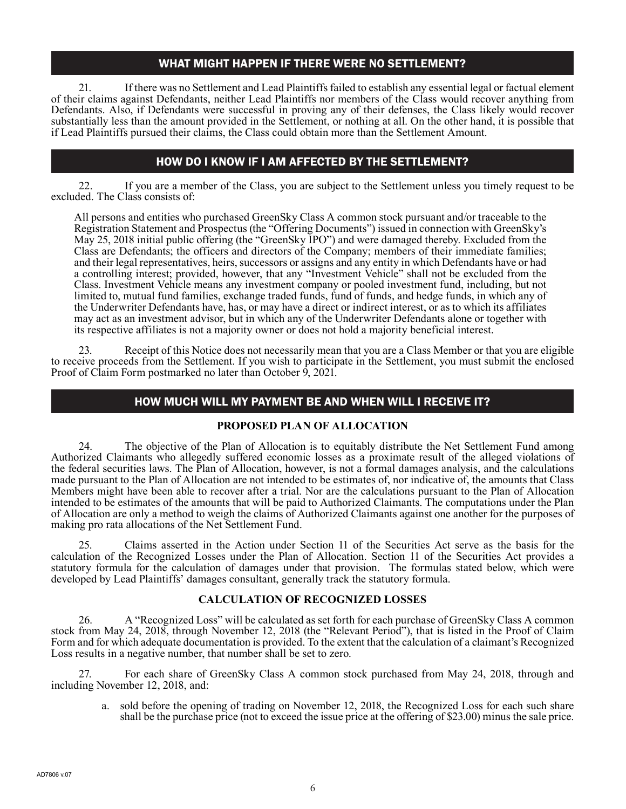### WHAT MIGHT HAPPEN IF THERE WERE NO SETTLEMENT?

21. If there was no Settlement and Lead Plaintiffs failed to establish any essential legal or factual element of their claims against Defendants, neither Lead Plaintiffs nor members of the Class would recover anything from Defendants. Also, if Defendants were successful in proving any of their defenses, the Class likely would recover substantially less than the amount provided in the Settlement, or nothing at all. On the other hand, it is possible that if Lead Plaintiffs pursued their claims, the Class could obtain more than the Settlement Amount.

# HOW DO I KNOW IF I AM AFFECTED BY THE SETTLEMENT?

22. If you are a member of the Class, you are subject to the Settlement unless you timely request to be excluded. The Class consists of:

All persons and entities who purchased GreenSky Class A common stock pursuant and/or traceable to the Registration Statement and Prospectus (the "Offering Documents") issued in connection with GreenSky's May 25, 2018 initial public offering (the "GreenSky IPO") and were damaged thereby. Excluded from the Class are Defendants; the officers and directors of the Company; members of their immediate families; and their legal representatives, heirs, successors or assigns and any entity in which Defendants have or had a controlling interest; provided, however, that any "Investment Vehicle" shall not be excluded from the Class. Investment Vehicle means any investment company or pooled investment fund, including, but not limited to, mutual fund families, exchange traded funds, fund of funds, and hedge funds, in which any of the Underwriter Defendants have, has, or may have a direct or indirect interest, or as to which its affiliates may act as an investment advisor, but in which any of the Underwriter Defendants alone or together with its respective affiliates is not a majority owner or does not hold a majority beneficial interest.

23. Receipt of this Notice does not necessarily mean that you are a Class Member or that you are eligible to receive proceeds from the Settlement. If you wish to participate in the Settlement, you must submit the enclosed Proof of Claim Form postmarked no later than October 9, 2021.

### HOW MUCH WILL MY PAYMENT BE AND WHEN WILL I RECEIVE IT?

#### **PROPOSED PLAN OF ALLOCATION**

24. The objective of the Plan of Allocation is to equitably distribute the Net Settlement Fund among Authorized Claimants who allegedly suffered economic losses as a proximate result of the alleged violations of the federal securities laws. The Plan of Allocation, however, is not a formal damages analysis, and the calculations made pursuant to the Plan of Allocation are not intended to be estimates of, nor indicative of, the amounts that Class Members might have been able to recover after a trial. Nor are the calculations pursuant to the Plan of Allocation intended to be estimates of the amounts that will be paid to Authorized Claimants. The computations under the Plan of Allocation are only a method to weigh the claims of Authorized Claimants against one another for the purposes of making pro rata allocations of the Net Settlement Fund.

25. Claims asserted in the Action under Section 11 of the Securities Act serve as the basis for the calculation of the Recognized Losses under the Plan of Allocation. Section 11 of the Securities Act provides a statutory formula for the calculation of damages under that provision. The formulas stated below, which were developed by Lead Plaintiffs' damages consultant, generally track the statutory formula.

#### **CALCULATION OF RECOGNIZED LOSSES**

26. A "Recognized Loss" will be calculated as set forth for each purchase of GreenSky Class A common stock from May 24, 2018, through November 12, 2018 (the "Relevant Period"), that is listed in the Proof of Claim Form and for which adequate documentation is provided. To the extent that the calculation of a claimant's Recognized Loss results in a negative number, that number shall be set to zero.

27. For each share of GreenSky Class A common stock purchased from May 24, 2018, through and including November 12, 2018, and:

a. sold before the opening of trading on November 12, 2018, the Recognized Loss for each such share shall be the purchase price (not to exceed the issue price at the offering of \$23.00) minus the sale price.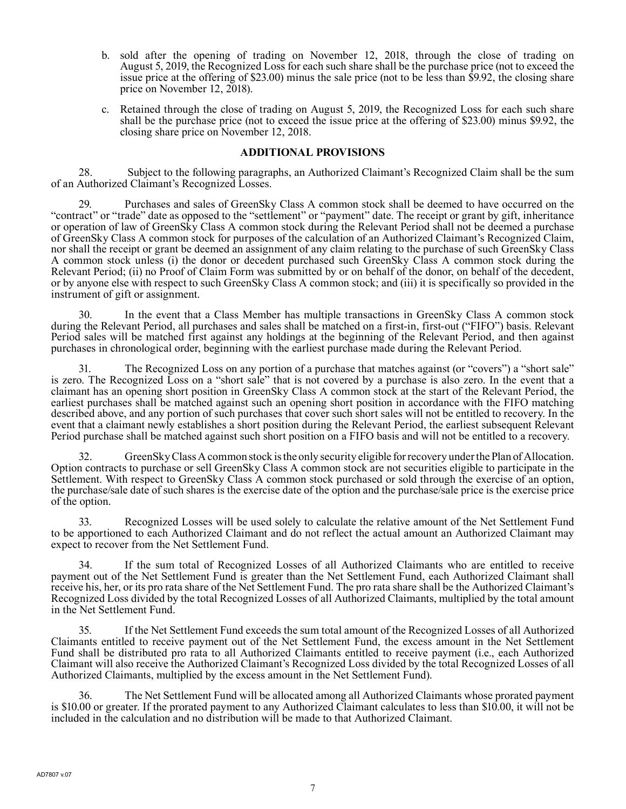- b. sold after the opening of trading on November 12, 2018, through the close of trading on August 5, 2019, the Recognized Loss for each such share shall be the purchase price (not to exceed the issue price at the offering of \$23.00) minus the sale price (not to be less than \$9.92, the closing share price on November 12, 2018).
- c. Retained through the close of trading on August 5, 2019, the Recognized Loss for each such share shall be the purchase price (not to exceed the issue price at the offering of \$23.00) minus \$9.92, the closing share price on November 12, 2018.

#### **ADDITIONAL PROVISIONS**

28. Subject to the following paragraphs, an Authorized Claimant's Recognized Claim shall be the sum of an Authorized Claimant's Recognized Losses.

Purchases and sales of GreenSky Class A common stock shall be deemed to have occurred on the "contract" or "trade" date as opposed to the "settlement" or "payment" date. The receipt or grant by gift, inheritance or operation of law of GreenSky Class A common stock during the Relevant Period shall not be deemed a purchase of GreenSky Class A common stock for purposes of the calculation of an Authorized Claimant's Recognized Claim, nor shall the receipt or grant be deemed an assignment of any claim relating to the purchase of such GreenSky Class A common stock unless (i) the donor or decedent purchased such GreenSky Class A common stock during the Relevant Period; (ii) no Proof of Claim Form was submitted by or on behalf of the donor, on behalf of the decedent, or by anyone else with respect to such GreenSky Class A common stock; and (iii) it is specifically so provided in the instrument of gift or assignment.

30. In the event that a Class Member has multiple transactions in GreenSky Class A common stock during the Relevant Period, all purchases and sales shall be matched on a first-in, first-out ("FIFO") basis. Relevant Period sales will be matched first against any holdings at the beginning of the Relevant Period, and then against purchases in chronological order, beginning with the earliest purchase made during the Relevant Period.

31. The Recognized Loss on any portion of a purchase that matches against (or "covers") a "short sale" is zero. The Recognized Loss on a "short sale" that is not covered by a purchase is also zero. In the event that a claimant has an opening short position in GreenSky Class A common stock at the start of the Relevant Period, the earliest purchases shall be matched against such an opening short position in accordance with the FIFO matching described above, and any portion of such purchases that cover such short sales will not be entitled to recovery. In the event that a claimant newly establishes a short position during the Relevant Period, the earliest subsequent Relevant Period purchase shall be matched against such short position on a FIFO basis and will not be entitled to a recovery.

32. GreenSky Class A common stock is the only security eligible for recovery under the Plan of Allocation. Option contracts to purchase or sell GreenSky Class A common stock are not securities eligible to participate in the Settlement. With respect to GreenSky Class A common stock purchased or sold through the exercise of an option, the purchase/sale date of such shares is the exercise date of the option and the purchase/sale price is the exercise price of the option.

33. Recognized Losses will be used solely to calculate the relative amount of the Net Settlement Fund to be apportioned to each Authorized Claimant and do not reflect the actual amount an Authorized Claimant may expect to recover from the Net Settlement Fund.

34. If the sum total of Recognized Losses of all Authorized Claimants who are entitled to receive payment out of the Net Settlement Fund is greater than the Net Settlement Fund, each Authorized Claimant shall receive his, her, or its pro rata share of the Net Settlement Fund. The pro rata share shall be the Authorized Claimant's Recognized Loss divided by the total Recognized Losses of all Authorized Claimants, multiplied by the total amount in the Net Settlement Fund.

35. If the Net Settlement Fund exceeds the sum total amount of the Recognized Losses of all Authorized Claimants entitled to receive payment out of the Net Settlement Fund, the excess amount in the Net Settlement Fund shall be distributed pro rata to all Authorized Claimants entitled to receive payment (i.e., each Authorized Claimant will also receive the Authorized Claimant's Recognized Loss divided by the total Recognized Losses of all Authorized Claimants, multiplied by the excess amount in the Net Settlement Fund).

36. The Net Settlement Fund will be allocated among all Authorized Claimants whose prorated payment is \$10.00 or greater. If the prorated payment to any Authorized Claimant calculates to less than \$10.00, it will not be included in the calculation and no distribution will be made to that Authorized Claimant.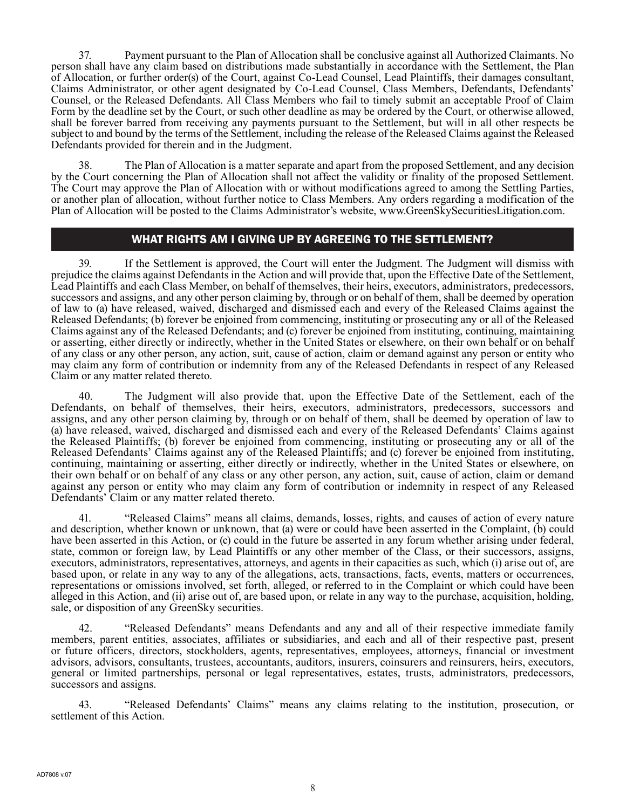37. Payment pursuant to the Plan of Allocation shall be conclusive against all Authorized Claimants. No person shall have any claim based on distributions made substantially in accordance with the Settlement, the Plan of Allocation, or further order(s) of the Court, against Co-Lead Counsel, Lead Plaintiffs, their damages consultant, Claims Administrator, or other agent designated by Co-Lead Counsel, Class Members, Defendants, Defendants' Counsel, or the Released Defendants. All Class Members who fail to timely submit an acceptable Proof of Claim Form by the deadline set by the Court, or such other deadline as may be ordered by the Court, or otherwise allowed, shall be forever barred from receiving any payments pursuant to the Settlement, but will in all other respects be subject to and bound by the terms of the Settlement, including the release of the Released Claims against the Released Defendants provided for therein and in the Judgment.

38. The Plan of Allocation is a matter separate and apart from the proposed Settlement, and any decision by the Court concerning the Plan of Allocation shall not affect the validity or finality of the proposed Settlement. The Court may approve the Plan of Allocation with or without modifications agreed to among the Settling Parties, or another plan of allocation, without further notice to Class Members. Any orders regarding a modification of the Plan of Allocation will be posted to the Claims Administrator's website, www.GreenSkySecuritiesLitigation.com.

#### WHAT RIGHTS AM I GIVING UP BY AGREEING TO THE SETTLEMENT?

39. If the Settlement is approved, the Court will enter the Judgment. The Judgment will dismiss with prejudice the claims against Defendants in the Action and will provide that, upon the Effective Date of the Settlement, Lead Plaintiffs and each Class Member, on behalf of themselves, their heirs, executors, administrators, predecessors, successors and assigns, and any other person claiming by, through or on behalf of them, shall be deemed by operation of law to (a) have released, waived, discharged and dismissed each and every of the Released Claims against the Released Defendants; (b) forever be enjoined from commencing, instituting or prosecuting any or all of the Released Claims against any of the Released Defendants; and (c) forever be enjoined from instituting, continuing, maintaining or asserting, either directly or indirectly, whether in the United States or elsewhere, on their own behalf or on behalf of any class or any other person, any action, suit, cause of action, claim or demand against any person or entity who may claim any form of contribution or indemnity from any of the Released Defendants in respect of any Released Claim or any matter related thereto.

40. The Judgment will also provide that, upon the Effective Date of the Settlement, each of the Defendants, on behalf of themselves, their heirs, executors, administrators, predecessors, successors and assigns, and any other person claiming by, through or on behalf of them, shall be deemed by operation of law to (a) have released, waived, discharged and dismissed each and every of the Released Defendants' Claims against the Released Plaintiffs; (b) forever be enjoined from commencing, instituting or prosecuting any or all of the Released Defendants' Claims against any of the Released Plaintiffs; and (c) forever be enjoined from instituting, continuing, maintaining or asserting, either directly or indirectly, whether in the United States or elsewhere, on their own behalf or on behalf of any class or any other person, any action, suit, cause of action, claim or demand against any person or entity who may claim any form of contribution or indemnity in respect of any Released Defendants' Claim or any matter related thereto.

41. "Released Claims" means all claims, demands, losses, rights, and causes of action of every nature and description, whether known or unknown, that (a) were or could have been asserted in the Complaint, (b) could have been asserted in this Action, or (c) could in the future be asserted in any forum whether arising under federal, state, common or foreign law, by Lead Plaintiffs or any other member of the Class, or their successors, assigns, executors, administrators, representatives, attorneys, and agents in their capacities as such, which (i) arise out of, are based upon, or relate in any way to any of the allegations, acts, transactions, facts, events, matters or occurrences, representations or omissions involved, set forth, alleged, or referred to in the Complaint or which could have been alleged in this Action, and (ii) arise out of, are based upon, or relate in any way to the purchase, acquisition, holding, sale, or disposition of any GreenSky securities.

42. "Released Defendants" means Defendants and any and all of their respective immediate family members, parent entities, associates, affiliates or subsidiaries, and each and all of their respective past, present or future officers, directors, stockholders, agents, representatives, employees, attorneys, financial or investment advisors, advisors, consultants, trustees, accountants, auditors, insurers, coinsurers and reinsurers, heirs, executors, general or limited partnerships, personal or legal representatives, estates, trusts, administrators, predecessors, successors and assigns.

43. "Released Defendants' Claims" means any claims relating to the institution, prosecution, or settlement of this Action.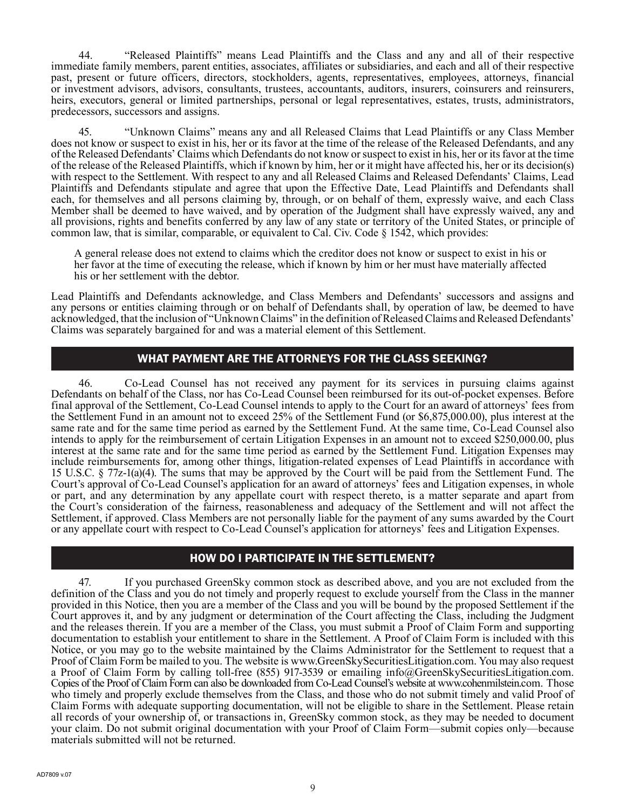44. "Released Plaintiffs" means Lead Plaintiffs and the Class and any and all of their respective immediate family members, parent entities, associates, affiliates or subsidiaries, and each and all of their respective past, present or future officers, directors, stockholders, agents, representatives, employees, attorneys, financial or investment advisors, advisors, consultants, trustees, accountants, auditors, insurers, coinsurers and reinsurers, heirs, executors, general or limited partnerships, personal or legal representatives, estates, trusts, administrators, predecessors, successors and assigns.

45. "Unknown Claims" means any and all Released Claims that Lead Plaintiffs or any Class Member does not know or suspect to exist in his, her or its favor at the time of the release of the Released Defendants, and any of the Released Defendants' Claims which Defendants do not know or suspect to exist in his, her or its favor at the time of the release of the Released Plaintiffs, which if known by him, her or it might have affected his, her or its decision(s) with respect to the Settlement. With respect to any and all Released Claims and Released Defendants' Claims, Lead Plaintiffs and Defendants stipulate and agree that upon the Effective Date, Lead Plaintiffs and Defendants shall each, for themselves and all persons claiming by, through, or on behalf of them, expressly waive, and each Class Member shall be deemed to have waived, and by operation of the Judgment shall have expressly waived, any and all provisions, rights and benefits conferred by any law of any state or territory of the United States, or principle of common law, that is similar, comparable, or equivalent to Cal. Civ. Code § 1542, which provides:

A general release does not extend to claims which the creditor does not know or suspect to exist in his or her favor at the time of executing the release, which if known by him or her must have materially affected his or her settlement with the debtor.

Lead Plaintiffs and Defendants acknowledge, and Class Members and Defendants' successors and assigns and any persons or entities claiming through or on behalf of Defendants shall, by operation of law, be deemed to have acknowledged, that the inclusion of "Unknown Claims" in the definition of Released Claims and Released Defendants' Claims was separately bargained for and was a material element of this Settlement.

#### WHAT PAYMENT ARE THE ATTORNEYS FOR THE CLASS SEEKING?

46. Co-Lead Counsel has not received any payment for its services in pursuing claims against Defendants on behalf of the Class, nor has Co-Lead Counsel been reimbursed for its out-of-pocket expenses. Before final approval of the Settlement, Co-Lead Counsel intends to apply to the Court for an award of attorneys' fees from the Settlement Fund in an amount not to exceed 25% of the Settlement Fund (or \$6,875,000.00), plus interest at the same rate and for the same time period as earned by the Settlement Fund. At the same time, Co-Lead Counsel also intends to apply for the reimbursement of certain Litigation Expenses in an amount not to exceed \$250,000.00, plus interest at the same rate and for the same time period as earned by the Settlement Fund. Litigation Expenses may include reimbursements for, among other things, litigation-related expenses of Lead Plaintiffs in accordance with 15 U.S.C. § 77z-1(a)(4). The sums that may be approved by the Court will be paid from the Settlement Fund. The Court's approval of Co-Lead Counsel's application for an award of attorneys' fees and Litigation expenses, in whole or part, and any determination by any appellate court with respect thereto, is a matter separate and apart from the Court's consideration of the fairness, reasonableness and adequacy of the Settlement and will not affect the Settlement, if approved. Class Members are not personally liable for the payment of any sums awarded by the Court or any appellate court with respect to Co-Lead Counsel's application for attorneys' fees and Litigation Expenses.

### HOW DO I PARTICIPATE IN THE SETTLEMENT?

47. If you purchased GreenSky common stock as described above, and you are not excluded from the definition of the Class and you do not timely and properly request to exclude yourself from the Class in the manner provided in this Notice, then you are a member of the Class and you will be bound by the proposed Settlement if the Court approves it, and by any judgment or determination of the Court affecting the Class, including the Judgment and the releases therein. If you are a member of the Class, you must submit a Proof of Claim Form and supporting documentation to establish your entitlement to share in the Settlement. A Proof of Claim Form is included with this Notice, or you may go to the website maintained by the Claims Administrator for the Settlement to request that a Proof of Claim Form be mailed to you. The website is www.GreenSkySecuritiesLitigation.com. You may also request a Proof of Claim Form by calling toll-free (855) 917-3539 or emailing info@GreenSkySecuritiesLitigation.com. Copies of the Proof of Claim Form can also be downloaded from Co-Lead Counsel's website at www.cohenmilstein.com. Those who timely and properly exclude themselves from the Class, and those who do not submit timely and valid Proof of Claim Forms with adequate supporting documentation, will not be eligible to share in the Settlement. Please retain all records of your ownership of, or transactions in, GreenSky common stock, as they may be needed to document your claim. Do not submit original documentation with your Proof of Claim Form—submit copies only—because materials submitted will not be returned.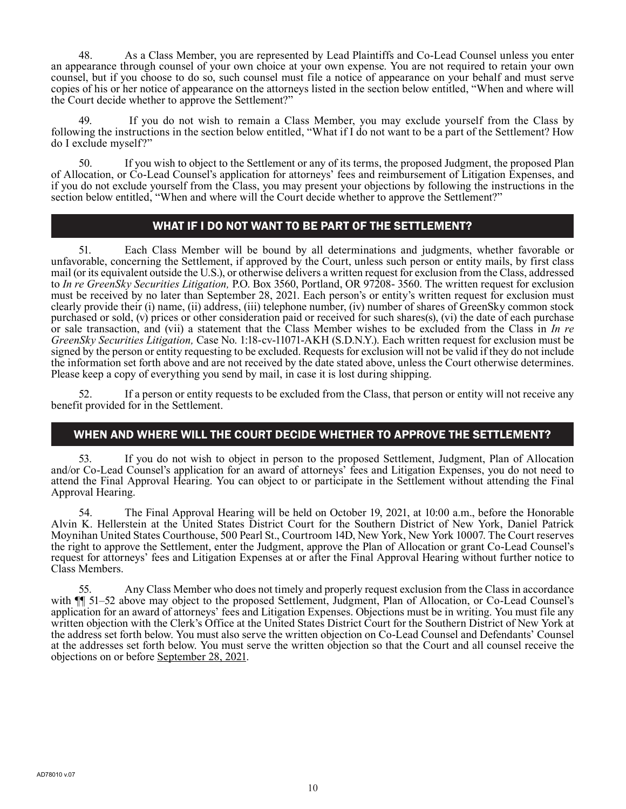48. As a Class Member, you are represented by Lead Plaintiffs and Co-Lead Counsel unless you enter an appearance through counsel of your own choice at your own expense. You are not required to retain your own counsel, but if you choose to do so, such counsel must file a notice of appearance on your behalf and must serve copies of his or her notice of appearance on the attorneys listed in the section below entitled, "When and where will the Court decide whether to approve the Settlement?"

49. If you do not wish to remain a Class Member, you may exclude yourself from the Class by following the instructions in the section below entitled, "What if I do not want to be a part of the Settlement? How do I exclude myself?"

50. If you wish to object to the Settlement or any of its terms, the proposed Judgment, the proposed Plan of Allocation, or Co-Lead Counsel's application for attorneys' fees and reimbursement of Litigation Expenses, and if you do not exclude yourself from the Class, you may present your objections by following the instructions in the section below entitled, "When and where will the Court decide whether to approve the Settlement?"

### WHAT IF I DO NOT WANT TO BE PART OF THE SETTLEMENT?

51. Each Class Member will be bound by all determinations and judgments, whether favorable or unfavorable, concerning the Settlement, if approved by the Court, unless such person or entity mails, by first class mail (or its equivalent outside the U.S.), or otherwise delivers a written request for exclusion from the Class, addressed to *In re GreenSky Securities Litigation,* P.O. Box 3560, Portland, OR 97208- 3560. The written request for exclusion must be received by no later than September 28, 2021. Each person's or entity's written request for exclusion must clearly provide their (i) name, (ii) address, (iii) telephone number, (iv) number of shares of GreenSky common stock purchased or sold, (v) prices or other consideration paid or received for such shares(s), (vi) the date of each purchase or sale transaction, and (vii) a statement that the Class Member wishes to be excluded from the Class in *In re GreenSky Securities Litigation,* Case No. 1:18-cv-11071-AKH (S.D.N.Y.). Each written request for exclusion must be signed by the person or entity requesting to be excluded. Requests for exclusion will not be valid if they do not include the information set forth above and are not received by the date stated above, unless the Court otherwise determines. Please keep a copy of everything you send by mail, in case it is lost during shipping.

52. If a person or entity requests to be excluded from the Class, that person or entity will not receive any benefit provided for in the Settlement.

### WHEN AND WHERE WILL THE COURT DECIDE WHETHER TO APPROVE THE SETTLEMENT?

53. If you do not wish to object in person to the proposed Settlement, Judgment, Plan of Allocation and/or Co-Lead Counsel's application for an award of attorneys' fees and Litigation Expenses, you do not need to attend the Final Approval Hearing. You can object to or participate in the Settlement without attending the Final Approval Hearing.

54. The Final Approval Hearing will be held on October 19, 2021, at 10:00 a.m., before the Honorable Alvin K. Hellerstein at the United States District Court for the Southern District of New York, Daniel Patrick Moynihan United States Courthouse, 500 Pearl St., Courtroom 14D, New York, New York 10007. The Court reserves the right to approve the Settlement, enter the Judgment, approve the Plan of Allocation or grant Co-Lead Counsel's request for attorneys' fees and Litigation Expenses at or after the Final Approval Hearing without further notice to Class Members.

55. Any Class Member who does not timely and properly request exclusion from the Class in accordance with  $\P$  51–52 above may object to the proposed Settlement, Judgment, Plan of Allocation, or Co-Lead Counsel's application for an award of attorneys' fees and Litigation Expenses. Objections must be in writing. You must file any written objection with the Clerk's Office at the United States District Court for the Southern District of New York at the address set forth below. You must also serve the written objection on Co-Lead Counsel and Defendants' Counsel at the addresses set forth below. You must serve the written objection so that the Court and all counsel receive the objections on or before September 28, 2021.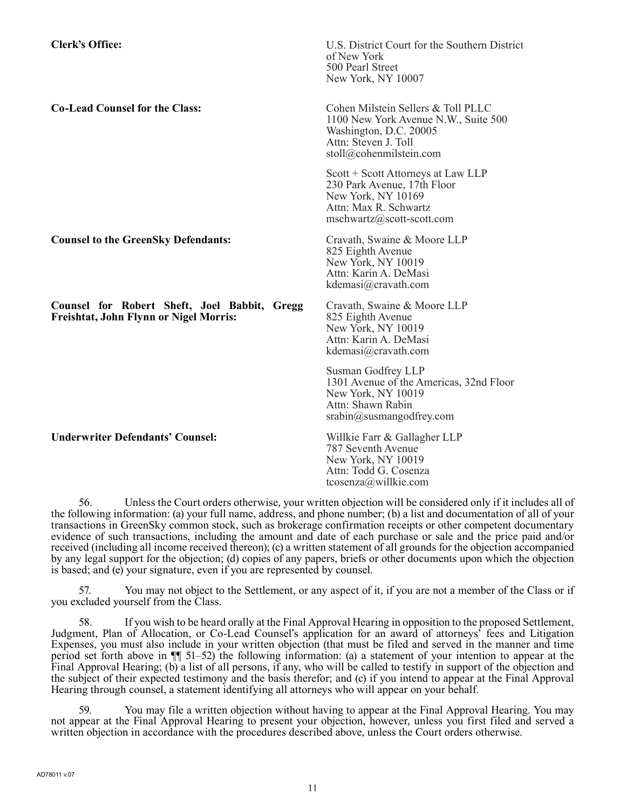**Clerk's Office:** U.S. District Court for the Southern District of New York 500 Pearl Street New York, NY 10007 **Co-Lead Counsel for the Class:** Cohen Milstein Sellers & Toll PLLC 1100 New York Avenue N.W., Suite 500 Washington, D.C. 20005 Attn: Steven J. Toll stoll@cohenmilstein.com Scott + Scott Attorneys at Law LLP 230 Park Avenue, 17th Floor New York, NY 10169 Attn: Max R. Schwartz mschwartz@scott-scott.com **Counsel to the GreenSky Defendants:** Cravath, Swaine & Moore LLP 825 Eighth Avenue New York, NY 10019 Attn: Karin A. DeMasi kdemasi@cravath.com **Counsel for Robert Sheft, Joel Babbit, Gregg Freishtat, John Flynn or Nigel Morris:** Cravath, Swaine & Moore LLP 825 Eighth Avenue New York, NY 10019 Attn: Karin A. DeMasi kdemasi@cravath.com Susman Godfrey LLP 1301 Avenue of the Americas, 32nd Floor New York, NY 10019 Attn: Shawn Rabin srabin@susmangodfrey.com **Underwriter Defendants' Counsel:** Willkie Farr & Gallagher LLP 787 Seventh Avenue New York, NY 10019 Attn: Todd G. Cosenza tcosenza@willkie.com

56. Unless the Court orders otherwise, your written objection will be considered only if it includes all of the following information: (a) your full name, address, and phone number; (b) a list and documentation of all of your transactions in GreenSky common stock, such as brokerage confirmation receipts or other competent documentary evidence of such transactions, including the amount and date of each purchase or sale and the price paid and/or received (including all income received thereon); (c) a written statement of all grounds for the objection accompanied by any legal support for the objection; (d) copies of any papers, briefs or other documents upon which the objection is based; and (e) your signature, even if you are represented by counsel.

57. You may not object to the Settlement, or any aspect of it, if you are not a member of the Class or if you excluded yourself from the Class.

If you wish to be heard orally at the Final Approval Hearing in opposition to the proposed Settlement, Judgment, Plan of Allocation, or Co-Lead Counsel's application for an award of attorneys' fees and Litigation Expenses, you must also include in your written objection (that must be filed and served in the manner and time period set forth above in ¶¶ 51–52) the following information: (a) a statement of your intention to appear at the Final Approval Hearing; (b) a list of all persons, if any, who will be called to testify in support of the objection and the subject of their expected testimony and the basis therefor; and (c) if you intend to appear at the Final Approval Hearing through counsel, a statement identifying all attorneys who will appear on your behalf.

59. You may file a written objection without having to appear at the Final Approval Hearing. You may not appear at the Final Approval Hearing to present your objection, however, unless you first filed and served a written objection in accordance with the procedures described above, unless the Court orders otherwise.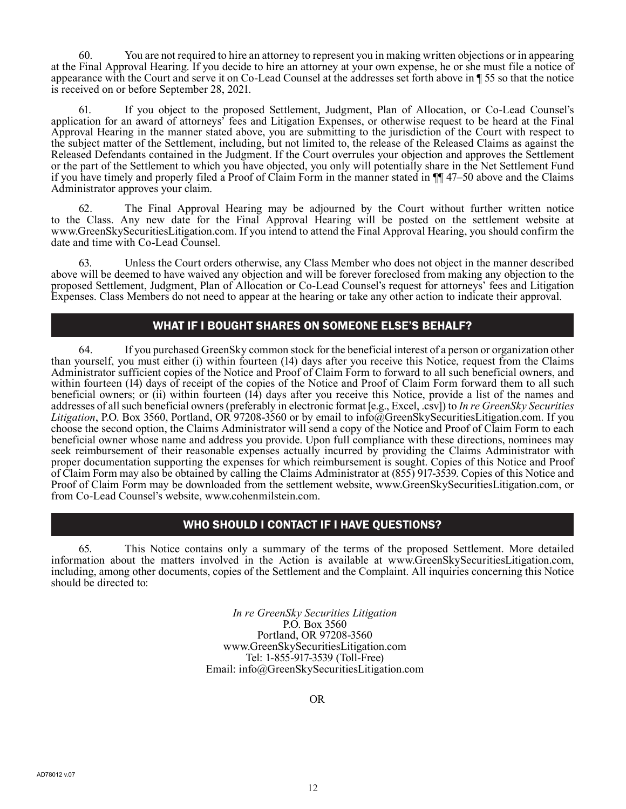60. You are not required to hire an attorney to represent you in making written objections or in appearing at the Final Approval Hearing. If you decide to hire an attorney at your own expense, he or she must file a notice of appearance with the Court and serve it on Co-Lead Counsel at the addresses set forth above in ¶ 55 so that the notice is received on or before September 28, 2021.

61. If you object to the proposed Settlement, Judgment, Plan of Allocation, or Co-Lead Counsel's application for an award of attorneys' fees and Litigation Expenses, or otherwise request to be heard at the Final Approval Hearing in the manner stated above, you are submitting to the jurisdiction of the Court with respect to the subject matter of the Settlement, including, but not limited to, the release of the Released Claims as against the Released Defendants contained in the Judgment. If the Court overrules your objection and approves the Settlement or the part of the Settlement to which you have objected, you only will potentially share in the Net Settlement Fund if you have timely and properly filed a Proof of Claim Form in the manner stated in ¶¶ 47–50 above and the Claims Administrator approves your claim.

62. The Final Approval Hearing may be adjourned by the Court without further written notice to the Class. Any new date for the Final Approval Hearing will be posted on the settlement website at www.GreenSkySecuritiesLitigation.com. If you intend to attend the Final Approval Hearing, you should confirm the date and time with Co-Lead Counsel.

63. Unless the Court orders otherwise, any Class Member who does not object in the manner described above will be deemed to have waived any objection and will be forever foreclosed from making any objection to the proposed Settlement, Judgment, Plan of Allocation or Co-Lead Counsel's request for attorneys' fees and Litigation Expenses. Class Members do not need to appear at the hearing or take any other action to indicate their approval.

### WHAT IF I BOUGHT SHARES ON SOMEONE ELSE'S BEHALF?

64. If you purchased GreenSky common stock for the beneficial interest of a person or organization other than yourself, you must either (i) within fourteen (14) days after you receive this Notice, request from the Claims Administrator sufficient copies of the Notice and Proof of Claim Form to forward to all such beneficial owners, and within fourteen (14) days of receipt of the copies of the Notice and Proof of Claim Form forward them to all such beneficial owners; or (ii) within fourteen (14) days after you receive this Notice, provide a list of the names and addresses of all such beneficial owners (preferably in electronic format [e.g., Excel, .csv]) to *In re GreenSky Securities Litigation*, P.O. Box 3560, Portland, OR 97208-3560 or by email to info@GreenSkySecuritiesLitigation.com. If you choose the second option, the Claims Administrator will send a copy of the Notice and Proof of Claim Form to each beneficial owner whose name and address you provide. Upon full compliance with these directions, nominees may seek reimbursement of their reasonable expenses actually incurred by providing the Claims Administrator with proper documentation supporting the expenses for which reimbursement is sought. Copies of this Notice and Proof of Claim Form may also be obtained by calling the Claims Administrator at (855) 917-3539. Copies of this Notice and Proof of Claim Form may be downloaded from the settlement website, www.GreenSkySecuritiesLitigation.com, or from Co-Lead Counsel's website, www.cohenmilstein.com.

# WHO SHOULD I CONTACT IF I HAVE QUESTIONS?

65. This Notice contains only a summary of the terms of the proposed Settlement. More detailed information about the matters involved in the Action is available at www.GreenSkySecuritiesLitigation.com, including, among other documents, copies of the Settlement and the Complaint. All inquiries concerning this Notice should be directed to:

> *In re GreenSky Securities Litigation* P.O. Box 3560 Portland, OR 97208-3560 www.GreenSkySecuritiesLitigation.com Tel: 1-855-917-3539 (Toll-Free) Email: info@GreenSkySecuritiesLitigation.com

> > OR